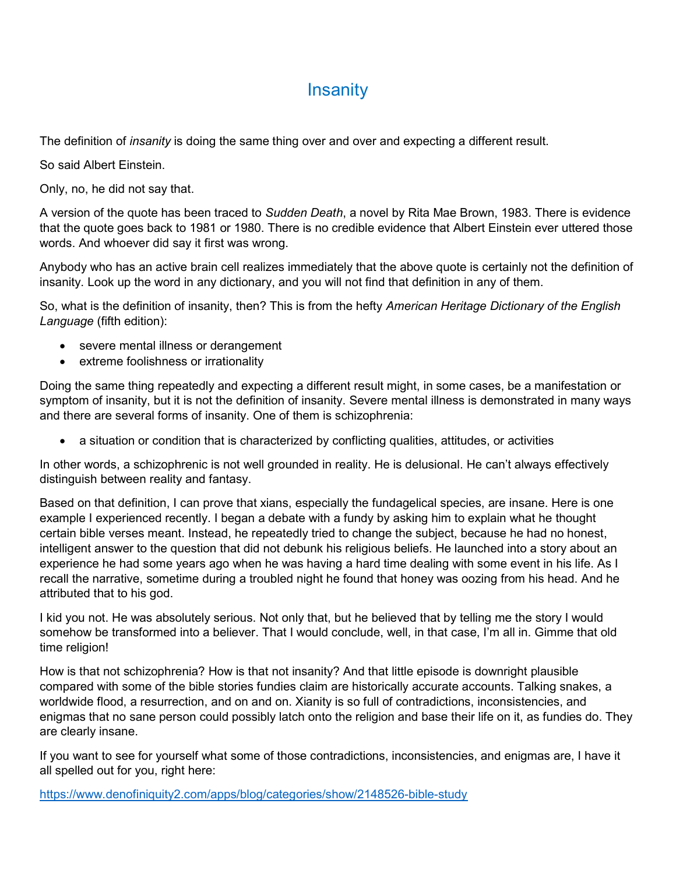## **Insanity**

The definition of *insanity* is doing the same thing over and over and expecting a different result.

So said Albert Einstein.

Only, no, he did not say that.

A version of the quote has been traced to Sudden Death, a novel by Rita Mae Brown, 1983. There is evidence that the quote goes back to 1981 or 1980. There is no credible evidence that Albert Einstein ever uttered those words. And whoever did say it first was wrong.

Anybody who has an active brain cell realizes immediately that the above quote is certainly not the definition of insanity. Look up the word in any dictionary, and you will not find that definition in any of them.

So, what is the definition of insanity, then? This is from the hefty American Heritage Dictionary of the English Language (fifth edition):

- severe mental illness or derangement
- extreme foolishness or irrationality

Doing the same thing repeatedly and expecting a different result might, in some cases, be a manifestation or symptom of insanity, but it is not the definition of insanity. Severe mental illness is demonstrated in many ways and there are several forms of insanity. One of them is schizophrenia:

a situation or condition that is characterized by conflicting qualities, attitudes, or activities

In other words, a schizophrenic is not well grounded in reality. He is delusional. He can't always effectively distinguish between reality and fantasy.

Based on that definition, I can prove that xians, especially the fundagelical species, are insane. Here is one example I experienced recently. I began a debate with a fundy by asking him to explain what he thought certain bible verses meant. Instead, he repeatedly tried to change the subject, because he had no honest, intelligent answer to the question that did not debunk his religious beliefs. He launched into a story about an experience he had some years ago when he was having a hard time dealing with some event in his life. As I recall the narrative, sometime during a troubled night he found that honey was oozing from his head. And he attributed that to his god.

I kid you not. He was absolutely serious. Not only that, but he believed that by telling me the story I would somehow be transformed into a believer. That I would conclude, well, in that case, I'm all in. Gimme that old time religion!

How is that not schizophrenia? How is that not insanity? And that little episode is downright plausible compared with some of the bible stories fundies claim are historically accurate accounts. Talking snakes, a worldwide flood, a resurrection, and on and on. Xianity is so full of contradictions, inconsistencies, and enigmas that no sane person could possibly latch onto the religion and base their life on it, as fundies do. They are clearly insane.

If you want to see for yourself what some of those contradictions, inconsistencies, and enigmas are, I have it all spelled out for you, right here:

https://www.denofiniquity2.com/apps/blog/categories/show/2148526-bible-study